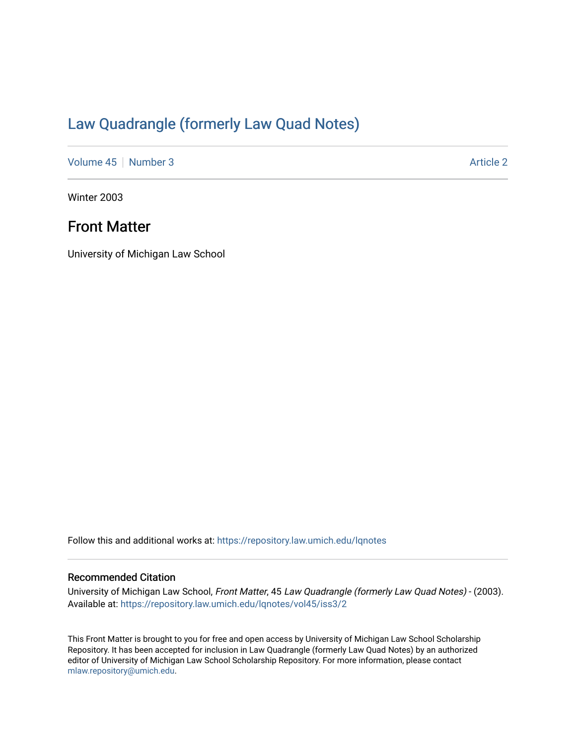# [Law Quadrangle \(formerly Law Quad Notes\)](https://repository.law.umich.edu/lqnotes)

[Volume 45](https://repository.law.umich.edu/lqnotes/vol45) [Number 3](https://repository.law.umich.edu/lqnotes/vol45/iss3) Article 2

Winter 2003

# Front Matter

University of Michigan Law School

Follow this and additional works at: [https://repository.law.umich.edu/lqnotes](https://repository.law.umich.edu/lqnotes?utm_source=repository.law.umich.edu%2Flqnotes%2Fvol45%2Fiss3%2F2&utm_medium=PDF&utm_campaign=PDFCoverPages) 

# Recommended Citation

University of Michigan Law School, Front Matter, 45 Law Quadrangle (formerly Law Quad Notes) - (2003). Available at: [https://repository.law.umich.edu/lqnotes/vol45/iss3/2](https://repository.law.umich.edu/lqnotes/vol45/iss3/2?utm_source=repository.law.umich.edu%2Flqnotes%2Fvol45%2Fiss3%2F2&utm_medium=PDF&utm_campaign=PDFCoverPages) 

This Front Matter is brought to you for free and open access by University of Michigan Law School Scholarship Repository. It has been accepted for inclusion in Law Quadrangle (formerly Law Quad Notes) by an authorized editor of University of Michigan Law School Scholarship Repository. For more information, please contact [mlaw.repository@umich.edu.](mailto:mlaw.repository@umich.edu)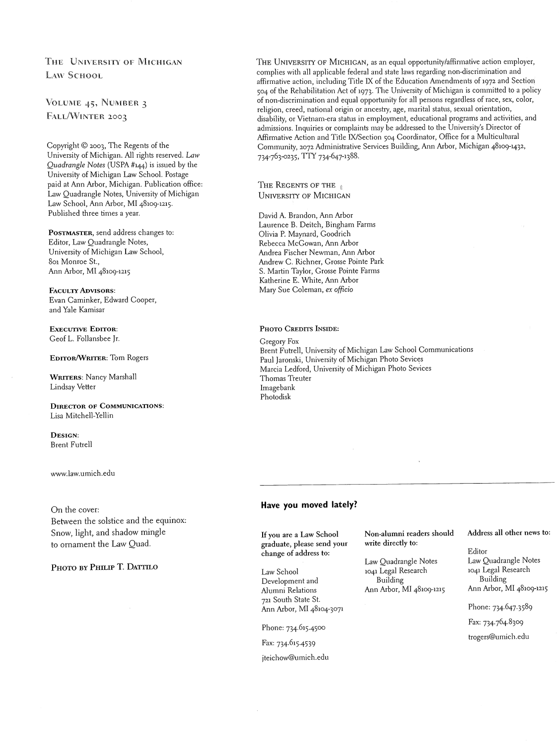# THE UNIVERSITY OF MICHIGAN LAW SCHOOL

# VOLUME 45, NUMBER 3 FALL/WINTER 2003

Copyright O 2003, The Regents of the University of Michigan. All rights reserved. Law Quadrangle Notes (USPA #144) is issued by the University of Michigan Law School. Postage paid at Ann Arbor, Michigan. Publication office: Law Quadrangle Notes, University of Michigan Law School, Ann Arbor, MI 48109-1215. Published three times a year.

POSTMASTER, send address changes to: Editor, Law Quadrangle Notes, University of Michigan Law School, 801 Monroe St., Ann Arbor, MI 48109-1z15

**FACULTY** ADVISORS: Evan Caminker, Edward Cooper, and Yale Kamisar

**EXECUTIVE EDITOR:** Geof L. Follansbee Jr.

### EDITOR/WRITER: Tom Rogers

WRITERS: Nancy Marshall Lindsay Vetter

### DIRECTOR OF COMMUNICATIONS. Lisa Mitchell-Yellin

DESIGN: Brent Futrell

www.law.umich.edu

### On the cover:

Between the solstice and the equinox: Snow, light, and shadow mingle to ornament the Law Quad.

### PHOTO BY PHILIP T. DATTILO

THE UNIVERSITY OF MICHIGAN, as an equal opportunity/affirmative action employer, complies with all applicable federal and state laws regarding non-discrimination and affirmative action, including Title IX of the Education Amendments of 1972 and Section 504 of the Rehabilitation Act of 1973. The University of Michigan is committed to a policy of non-discrimination and equal opportunity lor all persons regardless ol race, sex, color, religion, creed, national origin or ancestry, age, marital status, sexual orientation, disability, or Vietnam-era status in employment, educational programs and activities, and admissions. Inquiries or complaints may be addressed to the University's Director of Affirmative Action and Title IX/Section 504 Coordinator, Office for a Multicultural Community, 2072 Administrative Services Building, Ann Arbor, Michigan 48109-1432, 734-763-0235, TTY 734-647-1388.

THE REGENTS OF THE **UNIVERSITY OF MICHIGAN** 

David A. Brandon, Ann Arbor Laurence B. Deitch, Bingham Farms Olivia P. Maynard, Goodrich Rebecca McGowan, Ann Arbor Andrea Fischer Newman, Ann Arbor Andrew C. Richner, Grosse Pointe Park S. Martin Taylor, Grosse Pointe Farms Katherine E. White, Ann Arbor Mary Sue Coleman, ex officio

### PHOTO CREDITS INSIDE:

Gregory Fox Brent Futrell, University of Michigan Law School Communications Paul Jaronski, University of Michigan Photo Sevices Marcia Ledford, University of Michigan Photo Sevices Thomas Treuter Imagebank Photodisk

### **Have you moved lately?**

If you are a Law School graduate, please send your change of address to:

Law School Development and Alumni Relations 721 South State St Ann Arbor, MI 48104-3071

Phone: 734.615.4500

jteichow@umich.edu

Non-alumni readers should Address all other news to: write directly to:

Law Quadrangle Notes<br>1041 Legal Research Ann Arbor, MI 48109-1215

Editor<br>Law Quadrangle Notes 1041 Legal Research<br>Building Building Building<br>Building Building Building Burden, MI 48109-1215

Phone: 734.647.3589

Fax: 734.764.8309

trogers@umich.edu Fax: 734.615.4539